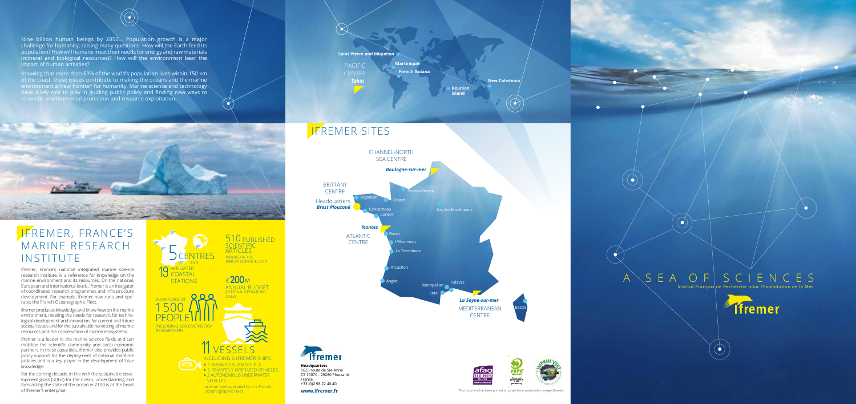Nine billion human beings by 2050… Population growth is a major challenge for humanity, raising many questions. How will the Earth feed its population? How will humans meet their needs for energy and raw materials (mineral and biological resources)? How will the environment bear the impact of human activities?

 $\bigotimes$ 

Knowing that more than 60% of the world's population lives within 150 km of the coast, these issues contribute to making the oceans and the marine environment a 'new frontier' for humanity. Marine science and technology have a key role to play in guiding public policy and finding new ways to reconcile environmental protection and resource exploitation.



Ifremer, France's national integrated marine science research institute, is a reference for knowledge on the marine environment and its resources. On the national, European and international levels, Ifremer is an instigator of coordinated research programmes and infrastructure development. For example, Ifremer now runs and operates the French Oceanographic Fleet.

> are run and operated by the French **Oceanographic Fleet**

510 PUBLISHED

#### Ifremer, France's Marine Research **INSTITUTE**

**SCIENTIFIC** ARTICLES indexed in the

*Tahiti* Pacific **CENTRE** 

Ifremer produces knowledge and know-how on the marine environment, meeting the needs for research, for technological development and innovation, for current and future societal issues and for the sustainable harvesting of marine resources and the conservation of marine ecosystems.

Ifremer is a leader in the marine science fields and can mobilise the scientific community and socio-economic partners. In these capacities, Ifremer also provides public policy support for the deployment of national maritime policies and is a key player in the development of 'blue knowledge'.

For the coming decade, in line with the sustainable development goals (SDGs) for the ocean, understanding and forecasting the state of the ocean in 2100 is at the heart of Ifremer's enterprise.



(EXTERNAL OPERATIONS

ONLY)

Annual budget

€**200**<sup>M</sup>



#### **French Guiana Martinique**

**Island**

**Reunion New Caledonia**

Mediterranean **CENTRE** *La Seyne-sur-mer*



#### IFREMER sites



Palavas



Bastia

 $A \ S E A O F S C I E N C E S$ 

 $\bullet$ 

 $\bullet$ 

Institut Français de Recherche pour l'Exploitation de la Mer

**Tfremer** 

**www.ifremer.fr This document has been printed on paper from sustainably managed forests.** 

**Headquarters** 1625 route de Ste-Anne CS 10070 - 29280 Plouzané France +33 (0)2 98 22 40 40

*Brest Plouzané* Issy-les-Moulineaux